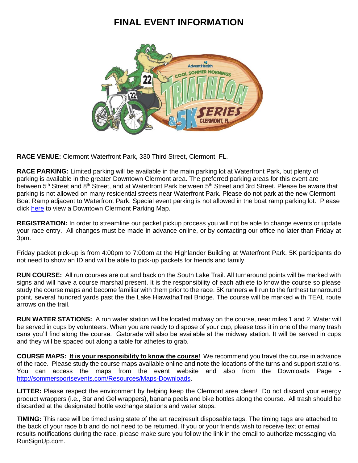## **FINAL EVENT INFORMATION**



**RACE VENUE:** Clermont Waterfront Park, 330 Third Street, Clermont, FL.

**RACE PARKING:** Limited parking will be available in the main parking lot at Waterfront Park, but plenty of parking is available in the greater Downtown Clermont area. The preferred parking areas for this event are between 5<sup>th</sup> Street and 8<sup>th</sup> Street, and at Waterfront Park between 5<sup>th</sup> Street and 3rd Street. Please be aware that parking is not allowed on many residential streets near Waterfront Park. Please do not park at the new Clermont Boat Ramp adjacent to Waterfront Park. Special event parking is not allowed in the boat ramp parking lot. Please click [here](http://sommersportsevents.com/Portals/0/Files/Events/Downtown%20Parking%20Map-EDITED%200521.pdf?ver=_qV0rdw90oz3qsvMQOcuIQ%3d%3d) to view a Downtown Clermont Parking Map.

**REGISTRATION:** In order to streamline our packet pickup process you will not be able to change events or update your race entry. All changes must be made in advance online, or by contacting our office no later than Friday at 3pm.

Friday packet pick-up is from 4:00pm to 7:00pm at the Highlander Building at Waterfront Park. 5K participants do not need to show an ID and will be able to pick-up packets for friends and family.

**RUN COURSE:** All run courses are out and back on the South Lake Trail. All turnaround points will be marked with signs and will have a course marshal present. It is the responsibility of each athlete to know the course so please study the course maps and become familiar with them prior to the race. 5K runners will run to the furthest turnaround point, several hundred yards past the the Lake HiawathaTrail Bridge. The course will be marked with TEAL route arrows on the trail.

**RUN WATER STATIONS:** A run water station will be located midway on the course, near miles 1 and 2. Water will be served in cups by volunteers. When you are ready to dispose of your cup, please toss it in one of the many trash cans you'll find along the course. Gatorade will also be available at the midway station. It will be served in cups and they will be spaced out along a table for athetes to grab.

**COURSE MAPS: It is your responsibility to know the course!** We recommend you travel the course in advance of the race. Please study the course maps available online and note the locations of the turns and support stations. You can access the maps from the event website and also from the Downloads Page [http://sommersportsevents.com/Resources/Maps-Downloads.](http://sommersportsevents.com/Resources/Maps-Downloads)

**LITTER:** Please respect the environment by helping keep the Clermont area clean! Do not discard your energy product wrappers (i.e., Bar and Gel wrappers), banana peels and bike bottles along the course. All trash should be discarded at the designated bottle exchange stations and water stops.

**TIMING:** This race will be timed using state of the art race|result disposable tags. The timing tags are attached to the back of your race bib and do not need to be returned. If you or your friends wish to receive text or email results notifications during the race, please make sure you follow the link in the email to authorize messaging via RunSignUp.com.